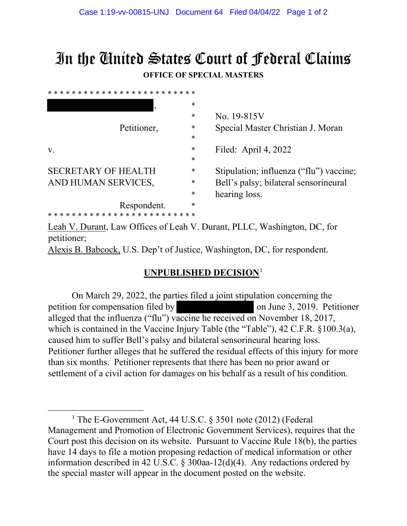## In the United States Court of Federal Claims **OFFICE OF SPECIAL MASTERS**

| * * * * * * * * * * * * * * * * |        |                                         |
|---------------------------------|--------|-----------------------------------------|
|                                 | *      |                                         |
|                                 | $\ast$ | No. 19-815V                             |
| Petitioner,                     | *      | Special Master Christian J. Moran       |
|                                 | *      |                                         |
| V.                              | *      | Filed: April 4, $2022$                  |
|                                 | $\ast$ |                                         |
| <b>SECRETARY OF HEALTH</b>      | *      | Stipulation; influenza ("flu") vaccine; |
| AND HUMAN SERVICES,             | *      | Bell's palsy; bilateral sensorineural   |
|                                 | $\ast$ | hearing loss.                           |
| Respondent.                     | *      |                                         |
| * * * * * * * * *               |        |                                         |

Leah V. Durant, Law Offices of Leah V. Durant, PLLC, Washington, DC, for petitioner; Alexis B. Babcock, U.S. Dep't of Justice, Washington, DC, for respondent.

## **UNPUBLISHED DECISION**[1](#page-0-0)

On March 29, 2022, the parties filed a joint stipulation concerning the petition for compensation filed by on June 3, 2019. Petitioner alleged that the influenza ("flu") vaccine he received on November 18, 2017, which is contained in the Vaccine Injury Table (the "Table"), 42 C.F.R. §100.3(a), caused him to suffer Bell's palsy and bilateral sensorineural hearing loss. Petitioner further alleges that he suffered the residual effects of this injury for more than six months. Petitioner represents that there has been no prior award or settlement of a civil action for damages on his behalf as a result of his condition.

<span id="page-0-0"></span><sup>&</sup>lt;sup>1</sup> The E-Government Act, 44 U.S.C. § 3501 note (2012) (Federal Management and Promotion of Electronic Government Services), requires that the Court post this decision on its website. Pursuant to Vaccine Rule 18(b), the parties have 14 days to file a motion proposing redaction of medical information or other information described in 42 U.S.C. § 300aa-12(d)(4). Any redactions ordered by the special master will appear in the document posted on the website.